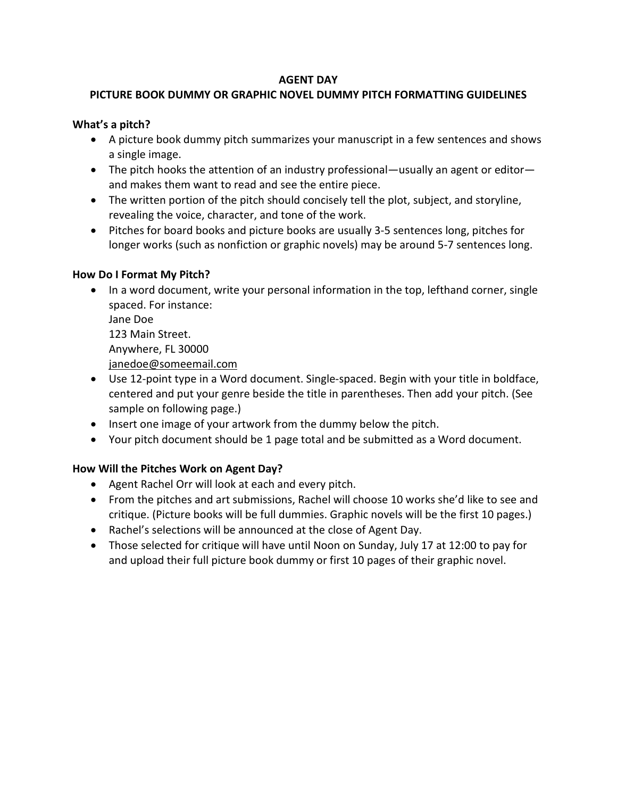# **AGENT DAY**

# **PICTURE BOOK DUMMY OR GRAPHIC NOVEL DUMMY PITCH FORMATTING GUIDELINES**

### **What's a pitch?**

- A picture book dummy pitch summarizes your manuscript in a few sentences and shows a single image.
- The pitch hooks the attention of an industry professional—usually an agent or editor and makes them want to read and see the entire piece.
- The written portion of the pitch should concisely tell the plot, subject, and storyline, revealing the voice, character, and tone of the work.
- Pitches for board books and picture books are usually 3-5 sentences long, pitches for longer works (such as nonfiction or graphic novels) may be around 5-7 sentences long.

#### **How Do I Format My Pitch?**

• In a word document, write your personal information in the top, lefthand corner, single spaced. For instance:

Jane Doe 123 Main Street. Anywhere, FL 30000 [janedoe@someemail.com](mailto:janedoe@someemail.com)

- Use 12-point type in a Word document. Single-spaced. Begin with your title in boldface, centered and put your genre beside the title in parentheses. Then add your pitch. (See sample on following page.)
- Insert one image of your artwork from the dummy below the pitch.
- Your pitch document should be 1 page total and be submitted as a Word document.

# **How Will the Pitches Work on Agent Day?**

- Agent Rachel Orr will look at each and every pitch.
- From the pitches and art submissions, Rachel will choose 10 works she'd like to see and critique. (Picture books will be full dummies. Graphic novels will be the first 10 pages.)
- Rachel's selections will be announced at the close of Agent Day.
- Those selected for critique will have until Noon on Sunday, July 17 at 12:00 to pay for and upload their full picture book dummy or first 10 pages of their graphic novel.